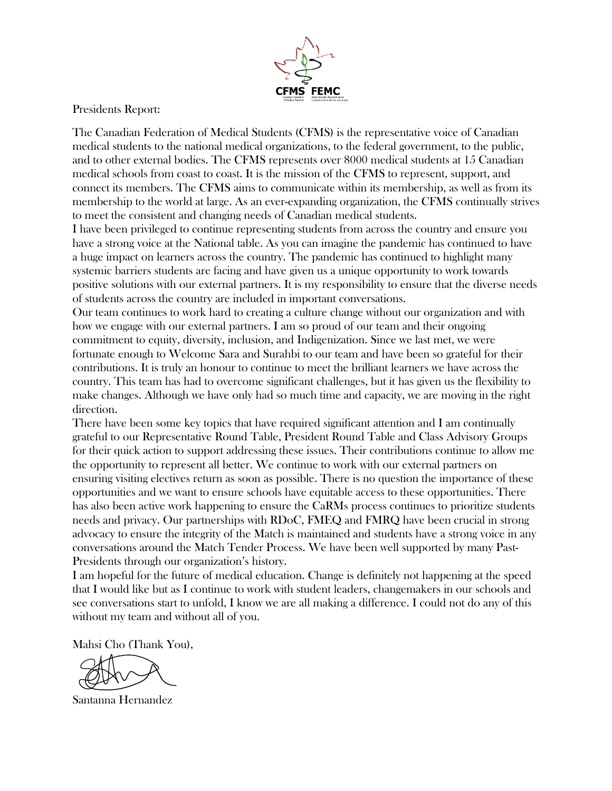

Presidents Report:

The Canadian Federation of Medical Students (CFMS) is the representative voice of Canadian medical students to the national medical organizations, to the federal government, to the public, and to other external bodies. The CFMS represents over 8000 medical students at 15 Canadian medical schools from coast to coast. It is the mission of the CFMS to represent, support, and connect its members. The CFMS aims to communicate within its membership, as well as from its membership to the world at large. As an ever-expanding organization, the CFMS continually strives to meet the consistent and changing needs of Canadian medical students.

I have been privileged to continue representing students from across the country and ensure you have a strong voice at the National table. As you can imagine the pandemic has continued to have a huge impact on learners across the country. The pandemic has continued to highlight many systemic barriers students are facing and have given us a unique opportunity to work towards positive solutions with our external partners. It is my responsibility to ensure that the diverse needs of students across the country are included in important conversations.

Our team continues to work hard to creating a culture change without our organization and with how we engage with our external partners. I am so proud of our team and their ongoing commitment to equity, diversity, inclusion, and Indigenization. Since we last met, we were fortunate enough to Welcome Sara and Surahbi to our team and have been so grateful for their contributions. It is truly an honour to continue to meet the brilliant learners we have across the country. This team has had to overcome significant challenges, but it has given us the flexibility to make changes. Although we have only had so much time and capacity, we are moving in the right direction.

There have been some key topics that have required significant attention and I am continually grateful to our Representative Round Table, President Round Table and Class Advisory Groups for their quick action to support addressing these issues. Their contributions continue to allow me the opportunity to represent all better. We continue to work with our external partners on ensuring visiting electives return as soon as possible. There is no question the importance of these opportunities and we want to ensure schools have equitable access to these opportunities. There has also been active work happening to ensure the CaRMs process continues to prioritize students needs and privacy. Our partnerships with RDoC, FMEQ and FMRQ have been crucial in strong advocacy to ensure the integrity of the Match is maintained and students have a strong voice in any conversations around the Match Tender Process. We have been well supported by many Past-Presidents through our organization's history.

I am hopeful for the future of medical education. Change is definitely not happening at the speed that I would like but as I continue to work with student leaders, changemakers in our schools and see conversations start to unfold, I know we are all making a difference. I could not do any of this without my team and without all of you.

Mahsi Cho (Thank You),

Santanna Hernandez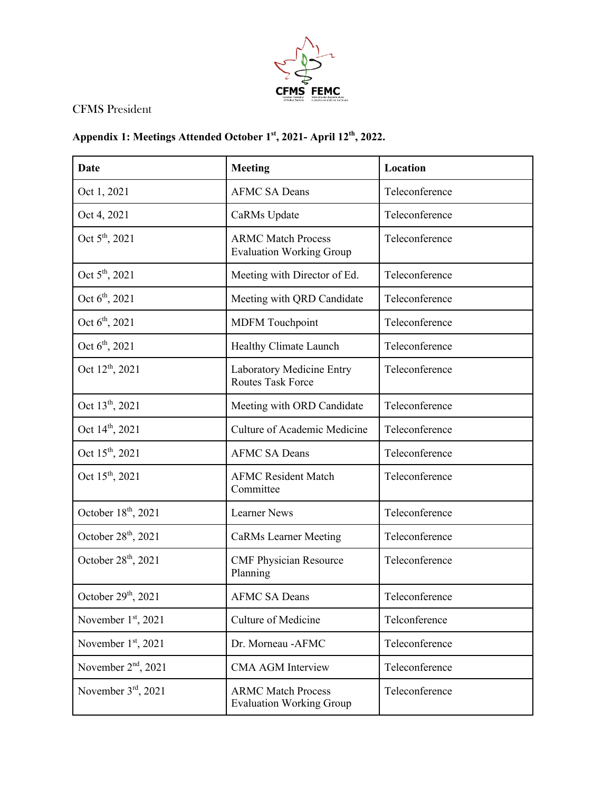

## CFMS President

## **Appendix 1: Meetings Attended October 1st, 2021- April 12th, 2022.**

| Date                            | <b>Meeting</b>                                               | Location       |
|---------------------------------|--------------------------------------------------------------|----------------|
| Oct 1, 2021                     | <b>AFMC SA Deans</b>                                         | Teleconference |
| Oct 4, 2021                     | CaRMs Update                                                 | Teleconference |
| Oct 5 <sup>th</sup> , 2021      | <b>ARMC Match Process</b><br><b>Evaluation Working Group</b> | Teleconference |
| Oct 5 <sup>th</sup> , 2021      | Meeting with Director of Ed.                                 | Teleconference |
| Oct $6^{\text{th}}$ , 2021      | Meeting with QRD Candidate                                   | Teleconference |
| Oct $6^{\text{th}}$ , 2021      | <b>MDFM</b> Touchpoint                                       | Teleconference |
| Oct $6^{\text{th}}$ , 2021      | Healthy Climate Launch                                       | Teleconference |
| Oct 12 <sup>th</sup> , 2021     | Laboratory Medicine Entry<br><b>Routes Task Force</b>        | Teleconference |
| Oct 13 <sup>th</sup> , 2021     | Meeting with ORD Candidate                                   | Teleconference |
| Oct 14 <sup>th</sup> , 2021     | Culture of Academic Medicine                                 | Teleconference |
| Oct 15 <sup>th</sup> , 2021     | <b>AFMC SA Deans</b>                                         | Teleconference |
| Oct 15 <sup>th</sup> , 2021     | <b>AFMC Resident Match</b><br>Committee                      | Teleconference |
| October 18 <sup>th</sup> , 2021 | <b>Learner News</b>                                          | Teleconference |
| October $28th$ , 2021           | <b>CaRMs</b> Learner Meeting                                 | Teleconference |
| October 28 <sup>th</sup> , 2021 | <b>CMF Physician Resource</b><br>Planning                    | Teleconference |
| October $29th$ , 2021           | <b>AFMC SA Deans</b>                                         | Teleconference |
| November 1st, 2021              | Culture of Medicine                                          | Telconference  |
| November $1st$ , 2021           | Dr. Morneau - AFMC                                           | Teleconference |
| November 2 <sup>nd</sup> , 2021 | <b>CMA AGM Interview</b>                                     | Teleconference |
| November 3rd, 2021              | <b>ARMC Match Process</b><br><b>Evaluation Working Group</b> | Teleconference |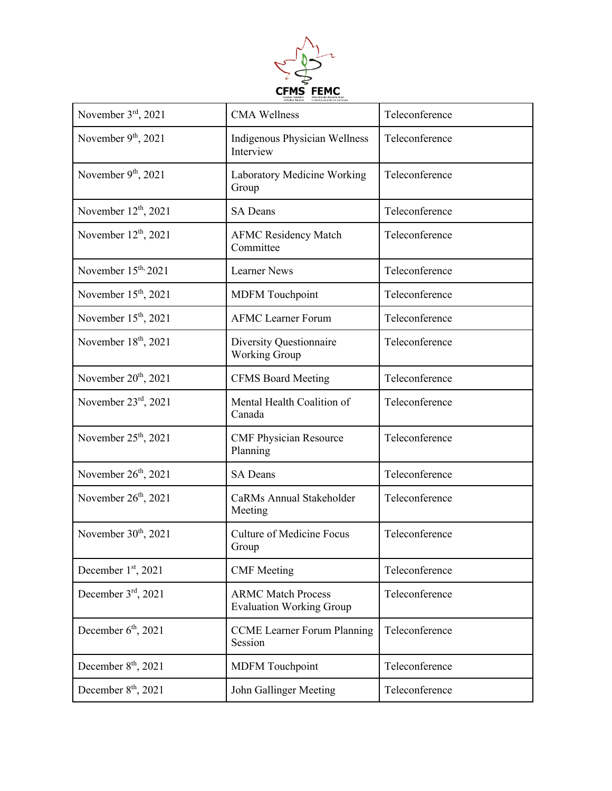

| November 3rd, 2021               | <b>CMA Wellness</b>                                          | Teleconference |
|----------------------------------|--------------------------------------------------------------|----------------|
| November $9th$ , 2021            | <b>Indigenous Physician Wellness</b><br>Interview            | Teleconference |
| November $9th$ , 2021            | Laboratory Medicine Working<br>Group                         | Teleconference |
| November $12th$ , 2021           | <b>SA Deans</b>                                              | Teleconference |
| November 12 <sup>th</sup> , 2021 | <b>AFMC Residency Match</b><br>Committee                     | Teleconference |
| November 15 <sup>th,</sup> 2021  | <b>Learner News</b>                                          | Teleconference |
| November $15th$ , 2021           | <b>MDFM</b> Touchpoint                                       | Teleconference |
| November 15 <sup>th</sup> , 2021 | <b>AFMC Learner Forum</b>                                    | Teleconference |
| November 18 <sup>th</sup> , 2021 | Diversity Questionnaire<br><b>Working Group</b>              | Teleconference |
| November $20th$ , 2021           | <b>CFMS Board Meeting</b>                                    | Teleconference |
| November $23rd$ , 2021           | Mental Health Coalition of<br>Canada                         | Teleconference |
| November 25 <sup>th</sup> , 2021 | <b>CMF Physician Resource</b><br>Planning                    | Teleconference |
| November $26th$ , 2021           | <b>SA Deans</b>                                              | Teleconference |
| November 26 <sup>th</sup> , 2021 | CaRMs Annual Stakeholder<br>Meeting                          | Teleconference |
| November $30th$ , 2021           | <b>Culture of Medicine Focus</b><br>Group                    | Teleconference |
| December 1st, 2021               | <b>CMF</b> Meeting                                           | Teleconference |
| December $3rd$ , 2021            | <b>ARMC Match Process</b><br><b>Evaluation Working Group</b> | Teleconference |
| December $6th$ , 2021            | <b>CCME</b> Learner Forum Planning<br>Session                | Teleconference |
| December $8th$ , 2021            | <b>MDFM</b> Touchpoint                                       | Teleconference |
| December $8th$ , 2021            | John Gallinger Meeting                                       | Teleconference |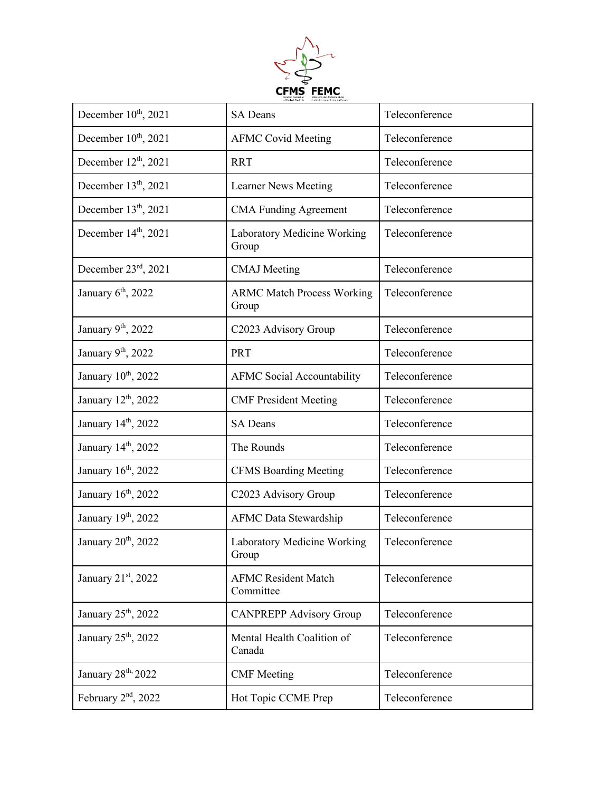

| December 10 <sup>th</sup> , 2021 | <b>SA Deans</b>                            | Teleconference |
|----------------------------------|--------------------------------------------|----------------|
| December 10 <sup>th</sup> , 2021 | <b>AFMC Covid Meeting</b>                  | Teleconference |
| December 12 <sup>th</sup> , 2021 | <b>RRT</b>                                 | Teleconference |
| December 13 <sup>th</sup> , 2021 | Learner News Meeting                       | Teleconference |
| December 13 <sup>th</sup> , 2021 | <b>CMA Funding Agreement</b>               | Teleconference |
| December $14th$ , 2021           | Laboratory Medicine Working<br>Group       | Teleconference |
| December $23^{\text{rd}}$ , 2021 | <b>CMAJ</b> Meeting                        | Teleconference |
| January 6 <sup>th</sup> , 2022   | <b>ARMC Match Process Working</b><br>Group | Teleconference |
| January 9th, 2022                | C2023 Advisory Group                       | Teleconference |
| January 9th, 2022                | <b>PRT</b>                                 | Teleconference |
| January 10th, 2022               | <b>AFMC Social Accountability</b>          | Teleconference |
| January 12 <sup>th</sup> , 2022  | <b>CMF President Meeting</b>               | Teleconference |
| January 14th, 2022               | <b>SA Deans</b>                            | Teleconference |
| January 14th, 2022               | The Rounds                                 | Teleconference |
| January 16 <sup>th</sup> , 2022  | <b>CFMS Boarding Meeting</b>               | Teleconference |
| January 16 <sup>th</sup> , 2022  | C2023 Advisory Group                       | Teleconference |
| January 19th, 2022               | <b>AFMC</b> Data Stewardship               | Teleconference |
| January 20 <sup>th</sup> , 2022  | Laboratory Medicine Working<br>Group       | Teleconference |
| January 21st, 2022               | <b>AFMC Resident Match</b><br>Committee    | Teleconference |
| January 25 <sup>th</sup> , 2022  | <b>CANPREPP Advisory Group</b>             | Teleconference |
| January 25 <sup>th</sup> , 2022  | Mental Health Coalition of<br>Canada       | Teleconference |
| January 28 <sup>th,</sup> 2022   | <b>CMF</b> Meeting                         | Teleconference |
| February $2nd$ , 2022            | Hot Topic CCME Prep                        | Teleconference |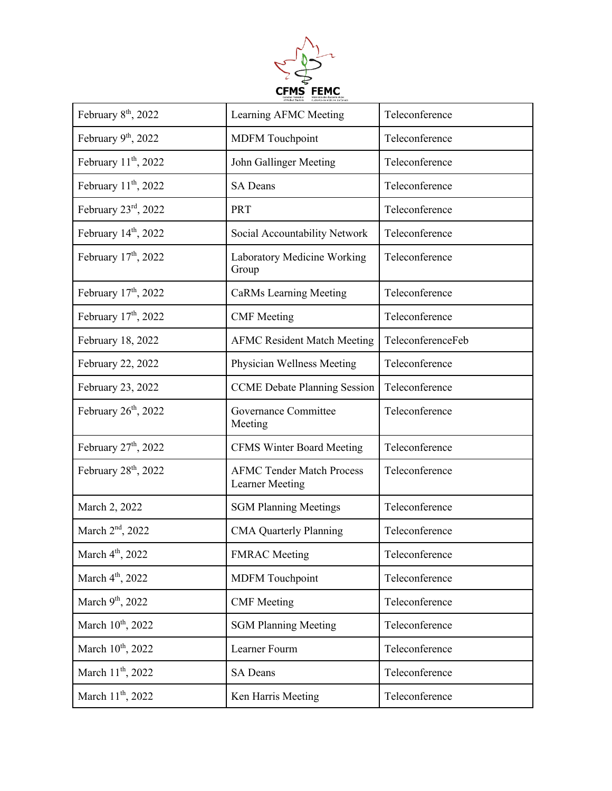

| February 8 <sup>th</sup> , 2022  | Learning AFMC Meeting                                      | Teleconference    |
|----------------------------------|------------------------------------------------------------|-------------------|
| February 9th, 2022               | <b>MDFM</b> Touchpoint                                     | Teleconference    |
| February $11th$ , 2022           | John Gallinger Meeting                                     | Teleconference    |
| February $11th$ , 2022           | <b>SA Deans</b>                                            | Teleconference    |
| February 23rd, 2022              | <b>PRT</b>                                                 | Teleconference    |
| February 14th, 2022              | Social Accountability Network                              | Teleconference    |
| February $17th$ , 2022           | Laboratory Medicine Working<br>Group                       | Teleconference    |
| February 17 <sup>th</sup> , 2022 | <b>CaRMs Learning Meeting</b>                              | Teleconference    |
| February 17 <sup>th</sup> , 2022 | <b>CMF</b> Meeting                                         | Teleconference    |
| February 18, 2022                | <b>AFMC Resident Match Meeting</b>                         | TeleconferenceFeb |
| February 22, 2022                | Physician Wellness Meeting                                 | Teleconference    |
| February 23, 2022                | <b>CCME</b> Debate Planning Session                        | Teleconference    |
| February $26th$ , 2022           | Governance Committee<br>Meeting                            | Teleconference    |
| February $27th$ , 2022           | <b>CFMS Winter Board Meeting</b>                           | Teleconference    |
| February $28th$ , 2022           | <b>AFMC Tender Match Process</b><br><b>Learner Meeting</b> | Teleconference    |
| March 2, 2022                    | <b>SGM Planning Meetings</b>                               | Teleconference    |
| March 2 <sup>nd</sup> , 2022     | <b>CMA Quarterly Planning</b>                              | Teleconference    |
| March 4 <sup>th</sup> , 2022     | <b>FMRAC</b> Meeting                                       | Teleconference    |
| March 4 <sup>th</sup> , 2022     | <b>MDFM</b> Touchpoint                                     | Teleconference    |
| March 9 <sup>th</sup> , 2022     | <b>CMF</b> Meeting                                         | Teleconference    |
| March 10th, 2022                 | <b>SGM Planning Meeting</b>                                | Teleconference    |
| March 10 <sup>th</sup> , 2022    | Learner Fourm                                              | Teleconference    |
| March 11 <sup>th</sup> , 2022    | <b>SA Deans</b>                                            | Teleconference    |
| March 11 <sup>th</sup> , 2022    | Ken Harris Meeting                                         | Teleconference    |